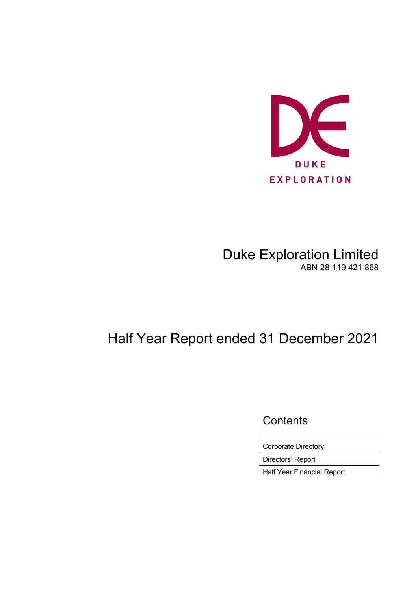

# Duke Exploration Limited ABN 28 119 421 868

# Half Year Report ended 31 December 2021

**Contents** 

Corporate Directory

Directors' Report

Half Year Financial Report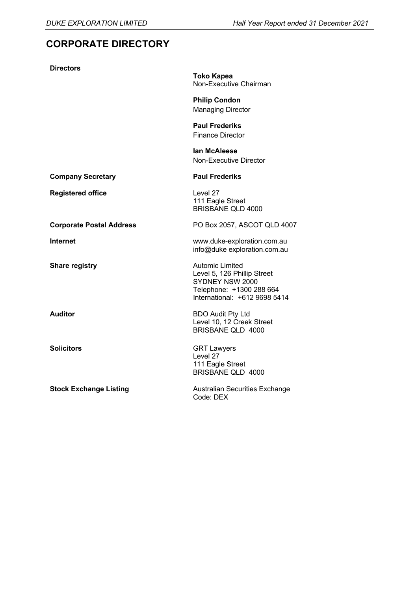# **CORPORATE DIRECTORY**

| <b>Directors</b>                |                                                                                                                                       |
|---------------------------------|---------------------------------------------------------------------------------------------------------------------------------------|
|                                 | <b>Toko Kapea</b><br>Non-Executive Chairman                                                                                           |
|                                 | <b>Philip Condon</b><br><b>Managing Director</b>                                                                                      |
|                                 | <b>Paul Frederiks</b><br><b>Finance Director</b>                                                                                      |
|                                 | lan McAleese<br>Non-Executive Director                                                                                                |
| <b>Company Secretary</b>        | <b>Paul Frederiks</b>                                                                                                                 |
| <b>Registered office</b>        | Level 27<br>111 Eagle Street<br><b>BRISBANE QLD 4000</b>                                                                              |
| <b>Corporate Postal Address</b> | PO Box 2057, ASCOT QLD 4007                                                                                                           |
| <b>Internet</b>                 | www.duke-exploration.com.au<br>info@duke exploration.com.au                                                                           |
| <b>Share registry</b>           | <b>Automic Limited</b><br>Level 5, 126 Phillip Street<br>SYDNEY NSW 2000<br>Telephone: +1300 288 664<br>International: +612 9698 5414 |
| <b>Auditor</b>                  | <b>BDO Audit Pty Ltd</b><br>Level 10, 12 Creek Street<br><b>BRISBANE QLD 4000</b>                                                     |
| <b>Solicitors</b>               | <b>GRT Lawyers</b><br>Level 27<br>111 Eagle Street<br>BRISBANE QLD 4000                                                               |
| <b>Stock Exchange Listing</b>   | <b>Australian Securities Exchange</b><br>Code: DEX                                                                                    |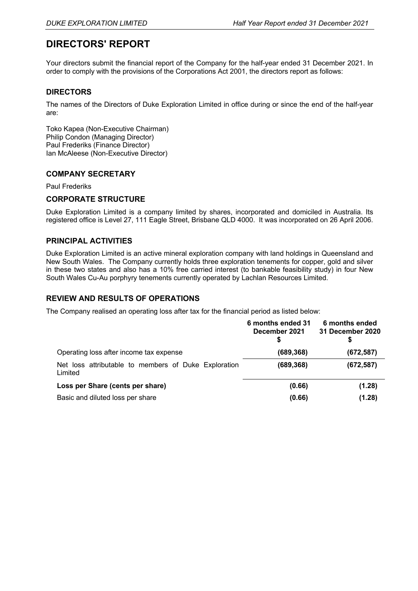# **DIRECTORS' REPORT**

Your directors submit the financial report of the Company for the half-year ended 31 December 2021. In order to comply with the provisions of the Corporations Act 2001, the directors report as follows:

#### **DIRECTORS**

The names of the Directors of Duke Exploration Limited in office during or since the end of the half-year are:

Toko Kapea (Non-Executive Chairman) Philip Condon (Managing Director) Paul Frederiks (Finance Director) Ian McAleese (Non-Executive Director)

#### **COMPANY SECRETARY**

#### Paul Frederiks

#### **CORPORATE STRUCTURE**

Duke Exploration Limited is a company limited by shares, incorporated and domiciled in Australia. Its registered office is Level 27, 111 Eagle Street, Brisbane QLD 4000. It was incorporated on 26 April 2006.

#### **PRINCIPAL ACTIVITIES**

Duke Exploration Limited is an active mineral exploration company with land holdings in Queensland and New South Wales. The Company currently holds three exploration tenements for copper, gold and silver in these two states and also has a 10% free carried interest (to bankable feasibility study) in four New South Wales Cu-Au porphyry tenements currently operated by Lachlan Resources Limited.

#### **REVIEW AND RESULTS OF OPERATIONS**

The Company realised an operating loss after tax for the financial period as listed below:

|                                                                 | 6 months ended 31<br>December 2021 | 6 months ended<br>31 December 2020 |
|-----------------------------------------------------------------|------------------------------------|------------------------------------|
| Operating loss after income tax expense                         | (689, 368)                         | (672, 587)                         |
| Net loss attributable to members of Duke Exploration<br>Limited | (689, 368)                         | (672, 587)                         |
| Loss per Share (cents per share)                                | (0.66)                             | (1.28)                             |
| Basic and diluted loss per share                                | (0.66)                             | (1.28)                             |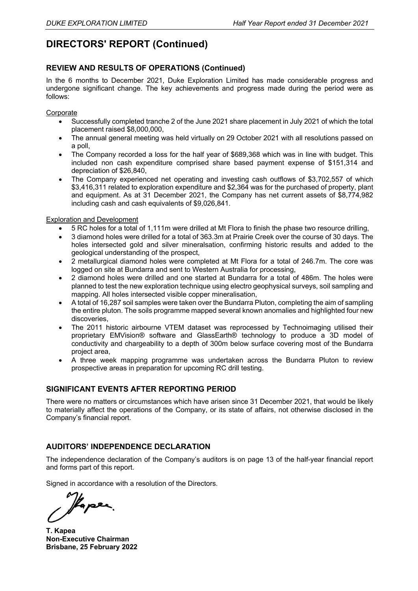# **DIRECTORS' REPORT (Continued)**

#### **REVIEW AND RESULTS OF OPERATIONS (Continued)**

In the 6 months to December 2021, Duke Exploration Limited has made considerable progress and undergone significant change. The key achievements and progress made during the period were as follows:

#### **Corporate**

- Successfully completed tranche 2 of the June 2021 share placement in July 2021 of which the total placement raised \$8,000,000,
- The annual general meeting was held virtually on 29 October 2021 with all resolutions passed on a poll,
- The Company recorded a loss for the half year of \$689,368 which was in line with budget. This included non cash expenditure comprised share based payment expense of \$151,314 and depreciation of \$26,840,
- The Company experienced net operating and investing cash outflows of \$3,702,557 of which \$3,416,311 related to exploration expenditure and \$2,364 was for the purchased of property, plant and equipment. As at 31 December 2021, the Company has net current assets of \$8,774,982 including cash and cash equivalents of \$9,026,841.

#### Exploration and Development

- 5 RC holes for a total of 1,111m were drilled at Mt Flora to finish the phase two resource drilling,
- 3 diamond holes were drilled for a total of 363.3m at Prairie Creek over the course of 30 days. The holes intersected gold and silver mineralsation, confirming historic results and added to the geological understanding of the prospect,
- 2 metallurgical diamond holes were completed at Mt Flora for a total of 246.7m. The core was logged on site at Bundarra and sent to Western Australia for processing,
- 2 diamond holes were drilled and one started at Bundarra for a total of 486m. The holes were planned to test the new exploration technique using electro geophysical surveys, soil sampling and mapping. All holes intersected visible copper mineralisation,
- A total of 16,287 soil samples were taken over the Bundarra Pluton, completing the aim of sampling the entire pluton. The soils programme mapped several known anomalies and highlighted four new discoveries,
- The 2011 historic airbourne VTEM dataset was reprocessed by Technoimaging utilised their proprietary EMVision® software and GlassEarth® technology to produce a 3D model of conductivity and chargeability to a depth of 300m below surface covering most of the Bundarra project area,
- A three week mapping programme was undertaken across the Bundarra Pluton to review prospective areas in preparation for upcoming RC drill testing.

#### **SIGNIFICANT EVENTS AFTER REPORTING PERIOD**

There were no matters or circumstances which have arisen since 31 December 2021, that would be likely to materially affect the operations of the Company, or its state of affairs, not otherwise disclosed in the Company's financial report.

#### **AUDITORS' INDEPENDENCE DECLARATION**

The independence declaration of the Company's auditors is on page 13 of the half-year financial report and forms part of this report.

Signed in accordance with a resolution of the Directors.

Paper.

**T. Kapea Non-Executive Chairman Brisbane, 25 February 2022**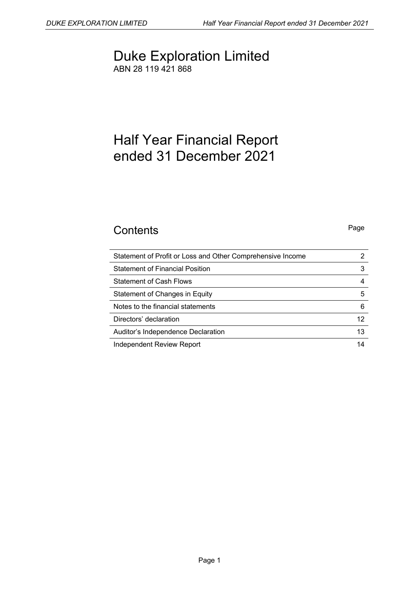# Duke Exploration Limited ABN 28 119 421 868

# Half Year Financial Report ended 31 December 2021

# **Contents** Page

| Statement of Profit or Loss and Other Comprehensive Income |    |
|------------------------------------------------------------|----|
| <b>Statement of Financial Position</b>                     | 3  |
| <b>Statement of Cash Flows</b>                             |    |
| Statement of Changes in Equity                             | 5  |
| Notes to the financial statements                          | 6  |
| Directors' declaration                                     | 12 |
| Auditor's Independence Declaration                         | 13 |
| Independent Review Report                                  | 14 |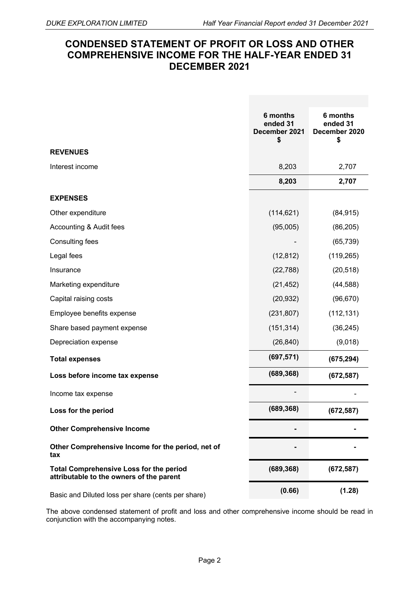# **CONDENSED STATEMENT OF PROFIT OR LOSS AND OTHER COMPREHENSIVE INCOME FOR THE HALF-YEAR ENDED 31 DECEMBER 2021**

|                                                                                            | 6 months<br>ended 31<br>December 2021<br>\$ | 6 months<br>ended 31<br>December 2020<br>\$ |
|--------------------------------------------------------------------------------------------|---------------------------------------------|---------------------------------------------|
| <b>REVENUES</b>                                                                            |                                             |                                             |
| Interest income                                                                            | 8,203                                       | 2,707                                       |
|                                                                                            | 8,203                                       | 2,707                                       |
| <b>EXPENSES</b>                                                                            |                                             |                                             |
| Other expenditure                                                                          | (114, 621)                                  | (84, 915)                                   |
| Accounting & Audit fees                                                                    | (95,005)                                    | (86, 205)                                   |
| Consulting fees                                                                            |                                             | (65, 739)                                   |
| Legal fees                                                                                 | (12, 812)                                   | (119, 265)                                  |
| Insurance                                                                                  | (22, 788)                                   | (20, 518)                                   |
| Marketing expenditure                                                                      | (21, 452)                                   | (44, 588)                                   |
| Capital raising costs                                                                      | (20, 932)                                   | (96, 670)                                   |
| Employee benefits expense                                                                  | (231, 807)                                  | (112, 131)                                  |
| Share based payment expense                                                                | (151, 314)                                  | (36, 245)                                   |
| Depreciation expense                                                                       | (26, 840)                                   | (9,018)                                     |
| <b>Total expenses</b>                                                                      | (697, 571)                                  | (675, 294)                                  |
| Loss before income tax expense                                                             | (689, 368)                                  | (672, 587)                                  |
| Income tax expense                                                                         |                                             |                                             |
| Loss for the period                                                                        | (689, 368)                                  | (672, 587)                                  |
| <b>Other Comprehensive Income</b>                                                          |                                             |                                             |
| Other Comprehensive Income for the period, net of<br>tax                                   |                                             |                                             |
| <b>Total Comprehensive Loss for the period</b><br>attributable to the owners of the parent | (689, 368)                                  | (672, 587)                                  |
| Basic and Diluted loss per share (cents per share)                                         | (0.66)                                      | (1.28)                                      |

The above condensed statement of profit and loss and other comprehensive income should be read in conjunction with the accompanying notes.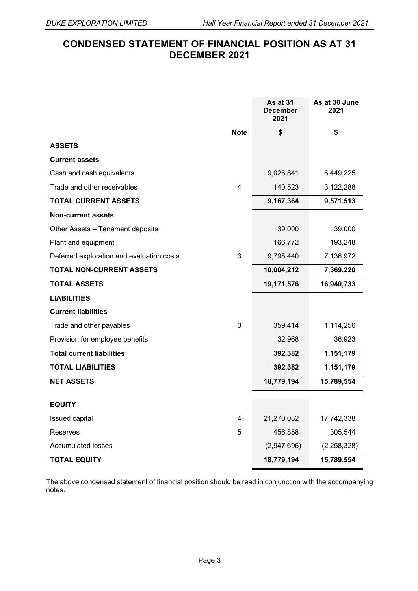# **CONDENSED STATEMENT OF FINANCIAL POSITION AS AT 31 DECEMBER 2021**

|                                           |                | As at 31<br><b>December</b><br>2021 | As at 30 June<br>2021 |
|-------------------------------------------|----------------|-------------------------------------|-----------------------|
|                                           | <b>Note</b>    | \$                                  | \$                    |
| <b>ASSETS</b>                             |                |                                     |                       |
| <b>Current assets</b>                     |                |                                     |                       |
| Cash and cash equivalents                 |                | 9,026,841                           | 6,449,225             |
| Trade and other receivables               | $\overline{4}$ | 140,523                             | 3,122,288             |
| <b>TOTAL CURRENT ASSETS</b>               |                | 9,167,364                           | 9,571,513             |
| <b>Non-current assets</b>                 |                |                                     |                       |
| Other Assets - Tenement deposits          |                | 39,000                              | 39,000                |
| Plant and equipment                       |                | 166,772                             | 193,248               |
| Deferred exploration and evaluation costs | 3              | 9,798,440                           | 7,136,972             |
| <b>TOTAL NON-CURRENT ASSETS</b>           |                | 10,004,212                          | 7,369,220             |
| <b>TOTAL ASSETS</b>                       |                | 19,171,576                          | 16,940,733            |
| <b>LIABILITIES</b>                        |                |                                     |                       |
| <b>Current liabilities</b>                |                |                                     |                       |
| Trade and other payables                  | 3              | 359,414                             | 1,114,256             |
| Provision for employee benefits           |                | 32,968                              | 36,923                |
| <b>Total current liabilities</b>          |                | 392,382                             | 1,151,179             |
| <b>TOTAL LIABILITIES</b>                  |                | 392,382                             | 1,151,179             |
| <b>NET ASSETS</b>                         |                | 18,779,194                          | 15,789,554            |
| <b>EQUITY</b>                             |                |                                     |                       |
| Issued capital                            | 4              | 21,270,032                          | 17,742,338            |
| Reserves                                  | 5              | 456,858                             | 305,544               |
| <b>Accumulated losses</b>                 |                | (2,947,696)                         | (2, 258, 328)         |
| <b>TOTAL EQUITY</b>                       |                | 18,779,194                          | 15,789,554            |

The above condensed statement of financial position should be read in conjunction with the accompanying notes.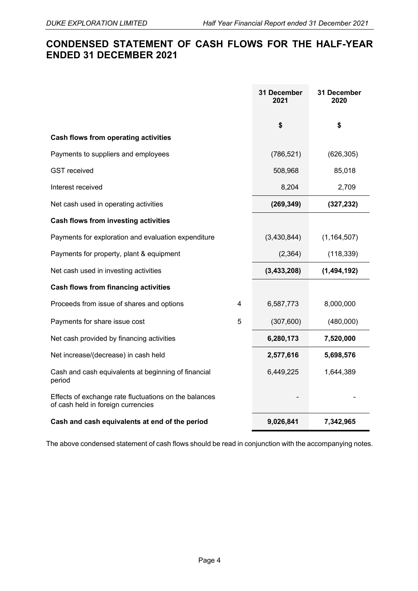# **CONDENSED STATEMENT OF CASH FLOWS FOR THE HALF-YEAR ENDED 31 DECEMBER 2021**

|                                                                                             |   | 31 December<br>2021 | 31 December<br>2020 |
|---------------------------------------------------------------------------------------------|---|---------------------|---------------------|
|                                                                                             |   | \$                  | \$                  |
| <b>Cash flows from operating activities</b>                                                 |   |                     |                     |
| Payments to suppliers and employees                                                         |   | (786, 521)          | (626, 305)          |
| <b>GST</b> received                                                                         |   | 508,968             | 85,018              |
| Interest received                                                                           |   | 8,204               | 2,709               |
| Net cash used in operating activities                                                       |   | (269, 349)          | (327, 232)          |
| <b>Cash flows from investing activities</b>                                                 |   |                     |                     |
| Payments for exploration and evaluation expenditure                                         |   | (3,430,844)         | (1, 164, 507)       |
| Payments for property, plant & equipment                                                    |   | (2, 364)            | (118, 339)          |
| Net cash used in investing activities                                                       |   | (3, 433, 208)       | (1,494,192)         |
| <b>Cash flows from financing activities</b>                                                 |   |                     |                     |
| Proceeds from issue of shares and options                                                   | 4 | 6,587,773           | 8,000,000           |
| Payments for share issue cost                                                               | 5 | (307, 600)          | (480,000)           |
| Net cash provided by financing activities                                                   |   | 6,280,173           | 7,520,000           |
| Net increase/(decrease) in cash held                                                        |   | 2,577,616           | 5,698,576           |
| Cash and cash equivalents at beginning of financial<br>period                               |   | 6,449,225           | 1,644,389           |
| Effects of exchange rate fluctuations on the balances<br>of cash held in foreign currencies |   |                     |                     |
| Cash and cash equivalents at end of the period                                              |   | 9,026,841           | 7,342,965           |

The above condensed statement of cash flows should be read in conjunction with the accompanying notes.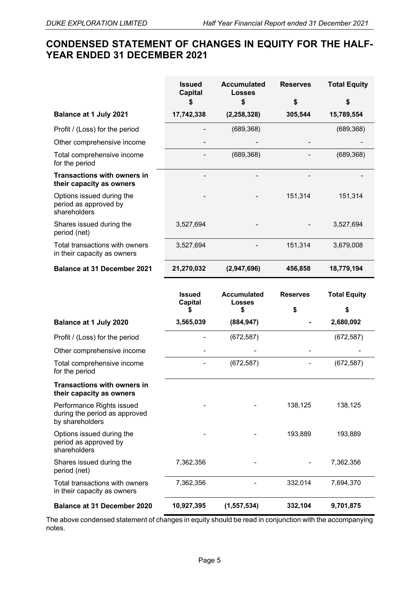# **CONDENSED STATEMENT OF CHANGES IN EQUITY FOR THE HALF-YEAR ENDED 31 DECEMBER 2021**

|                                                                               | <b>Issued</b><br><b>Capital</b>      | <b>Accumulated</b><br><b>Losses</b>      | <b>Reserves</b>       | <b>Total Equity</b>       |
|-------------------------------------------------------------------------------|--------------------------------------|------------------------------------------|-----------------------|---------------------------|
|                                                                               | \$                                   | \$                                       | \$                    | \$                        |
| <b>Balance at 1 July 2021</b>                                                 | 17,742,338                           | (2, 258, 328)                            | 305,544               | 15,789,554                |
| Profit / (Loss) for the period                                                |                                      | (689, 368)                               |                       | (689, 368)                |
| Other comprehensive income                                                    |                                      |                                          |                       |                           |
| Total comprehensive income<br>for the period                                  |                                      | (689, 368)                               |                       | (689, 368)                |
| <b>Transactions with owners in</b><br>their capacity as owners                |                                      |                                          |                       |                           |
| Options issued during the<br>period as approved by<br>shareholders            |                                      |                                          | 151,314               | 151,314                   |
| Shares issued during the<br>period (net)                                      | 3,527,694                            |                                          |                       | 3,527,694                 |
| Total transactions with owners<br>in their capacity as owners                 | 3,527,694                            |                                          | 151,314               | 3,679,008                 |
| <b>Balance at 31 December 2021</b>                                            | 21,270,032                           | (2,947,696)                              | 456,858               | 18,779,194                |
|                                                                               | <b>Issued</b><br><b>Capital</b><br>S | <b>Accumulated</b><br><b>Losses</b><br>S | <b>Reserves</b><br>\$ | <b>Total Equity</b><br>\$ |
| Balance at 1 July 2020                                                        | 3,565,039                            | (884, 947)                               |                       | 2,680,092                 |
| Profit / (Loss) for the period                                                |                                      | (672, 587)                               |                       | (672, 587)                |
| Other comprehensive income                                                    |                                      |                                          |                       |                           |
| Total comprehensive income<br>for the period                                  |                                      | (672, 587)                               |                       | (672, 587)                |
| <b>Transactions with owners in</b><br>their capacity as owners                |                                      |                                          |                       |                           |
| Performance Rights issued<br>during the period as approved<br>by shareholders |                                      |                                          | 138,125               | 138,125                   |
| Options issued during the<br>period as approved by<br>shareholders            |                                      |                                          | 193,889               | 193,889                   |
| Shares issued during the<br>period (net)                                      | 7,362,356                            |                                          |                       | 7,362,356                 |
| Total transactions with owners<br>in their capacity as owners                 | 7,362,356                            |                                          | 332,014               | 7,694,370                 |
| <b>Balance at 31 December 2020</b>                                            | 10,927,395                           | (1, 557, 534)                            | 332,104               | 9,701,875                 |

The above condensed statement of changes in equity should be read in conjunction with the accompanying notes.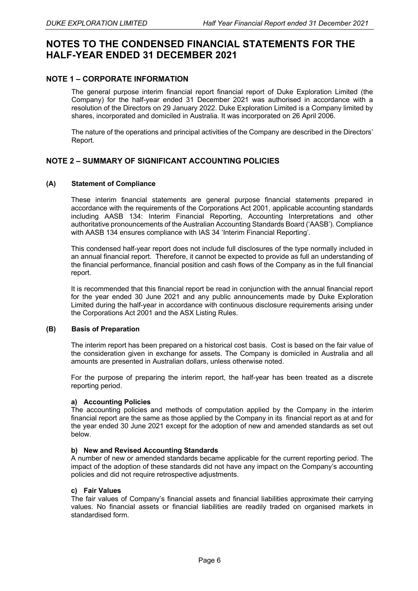# **NOTES TO THE CONDENSED FINANCIAL STATEMENTS FOR THE HALF-YEAR ENDED 31 DECEMBER 2021**

#### **NOTE 1 – CORPORATE INFORMATION**

The general purpose interim financial report financial report of Duke Exploration Limited (the Company) for the half-year ended 31 December 2021 was authorised in accordance with a resolution of the Directors on 29 January 2022. Duke Exploration Limited is a Company limited by shares, incorporated and domiciled in Australia. It was incorporated on 26 April 2006.

The nature of the operations and principal activities of the Company are described in the Directors' Report.

#### **NOTE 2 – SUMMARY OF SIGNIFICANT ACCOUNTING POLICIES**

#### **(A) Statement of Compliance**

These interim financial statements are general purpose financial statements prepared in accordance with the requirements of the Corporations Act 2001, applicable accounting standards including AASB 134: Interim Financial Reporting, Accounting Interpretations and other authoritative pronouncements of the Australian Accounting Standards Board ('AASB'). Compliance with AASB 134 ensures compliance with IAS 34 'Interim Financial Reporting'.

This condensed half-year report does not include full disclosures of the type normally included in an annual financial report. Therefore, it cannot be expected to provide as full an understanding of the financial performance, financial position and cash flows of the Company as in the full financial report.

It is recommended that this financial report be read in conjunction with the annual financial report for the year ended 30 June 2021 and any public announcements made by Duke Exploration Limited during the half-year in accordance with continuous disclosure requirements arising under the Corporations Act 2001 and the ASX Listing Rules.

#### **(B) Basis of Preparation**

The interim report has been prepared on a historical cost basis. Cost is based on the fair value of the consideration given in exchange for assets. The Company is domiciled in Australia and all amounts are presented in Australian dollars, unless otherwise noted.

For the purpose of preparing the interim report, the half-year has been treated as a discrete reporting period.

#### **a) Accounting Policies**

The accounting policies and methods of computation applied by the Company in the interim financial report are the same as those applied by the Company in its financial report as at and for the year ended 30 June 2021 except for the adoption of new and amended standards as set out below.

#### **b) New and Revised Accounting Standards**

A number of new or amended standards became applicable for the current reporting period. The impact of the adoption of these standards did not have any impact on the Company's accounting policies and did not require retrospective adjustments.

#### **c) Fair Values**

The fair values of Company's financial assets and financial liabilities approximate their carrying values. No financial assets or financial liabilities are readily traded on organised markets in standardised form.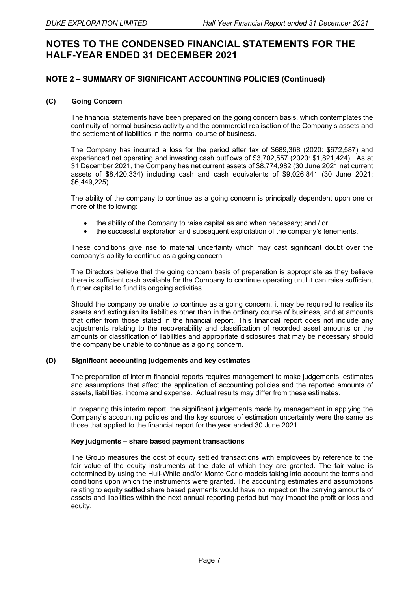# **NOTES TO THE CONDENSED FINANCIAL STATEMENTS FOR THE HALF-YEAR ENDED 31 DECEMBER 2021**

#### **NOTE 2 – SUMMARY OF SIGNIFICANT ACCOUNTING POLICIES (Continued)**

#### **(C) Going Concern**

The financial statements have been prepared on the going concern basis, which contemplates the continuity of normal business activity and the commercial realisation of the Company's assets and the settlement of liabilities in the normal course of business.

The Company has incurred a loss for the period after tax of \$689,368 (2020: \$672,587) and experienced net operating and investing cash outflows of \$3,702,557 (2020: \$1,821,424). As at 31 December 2021, the Company has net current assets of \$8,774,982 (30 June 2021 net current assets of \$8,420,334) including cash and cash equivalents of \$9,026,841 (30 June 2021: \$6,449,225).

The ability of the company to continue as a going concern is principally dependent upon one or more of the following:

- the ability of the Company to raise capital as and when necessary; and / or
- the successful exploration and subsequent exploitation of the company's tenements.

These conditions give rise to material uncertainty which may cast significant doubt over the company's ability to continue as a going concern.

The Directors believe that the going concern basis of preparation is appropriate as they believe there is sufficient cash available for the Company to continue operating until it can raise sufficient further capital to fund its ongoing activities.

Should the company be unable to continue as a going concern, it may be required to realise its assets and extinguish its liabilities other than in the ordinary course of business, and at amounts that differ from those stated in the financial report. This financial report does not include any adjustments relating to the recoverability and classification of recorded asset amounts or the amounts or classification of liabilities and appropriate disclosures that may be necessary should the company be unable to continue as a going concern.

#### **(D) Significant accounting judgements and key estimates**

The preparation of interim financial reports requires management to make judgements, estimates and assumptions that affect the application of accounting policies and the reported amounts of assets, liabilities, income and expense. Actual results may differ from these estimates.

In preparing this interim report, the significant judgements made by management in applying the Company's accounting policies and the key sources of estimation uncertainty were the same as those that applied to the financial report for the year ended 30 June 2021.

#### **Key judgments – share based payment transactions**

The Group measures the cost of equity settled transactions with employees by reference to the fair value of the equity instruments at the date at which they are granted. The fair value is determined by using the Hull-White and/or Monte Carlo models taking into account the terms and conditions upon which the instruments were granted. The accounting estimates and assumptions relating to equity settled share based payments would have no impact on the carrying amounts of assets and liabilities within the next annual reporting period but may impact the profit or loss and equity.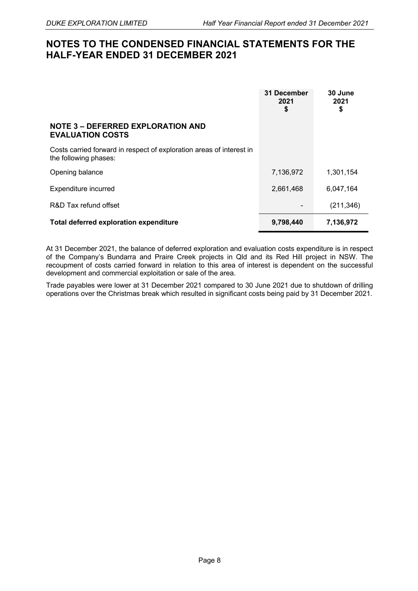# **NOTES TO THE CONDENSED FINANCIAL STATEMENTS FOR THE HALF-YEAR ENDED 31 DECEMBER 2021**

|                                                                                               | 31 December<br>2021<br>\$ | 30 June<br>2021<br>\$ |
|-----------------------------------------------------------------------------------------------|---------------------------|-----------------------|
| <b>NOTE 3 - DEFERRED EXPLORATION AND</b><br><b>EVALUATION COSTS</b>                           |                           |                       |
| Costs carried forward in respect of exploration areas of interest in<br>the following phases: |                           |                       |
| Opening balance                                                                               | 7,136,972                 | 1,301,154             |
| Expenditure incurred                                                                          | 2,661,468                 | 6.047.164             |
| R&D Tax refund offset                                                                         |                           | (211, 346)            |
| <b>Total deferred exploration expenditure</b>                                                 | 9,798,440                 | 7,136,972             |

At 31 December 2021, the balance of deferred exploration and evaluation costs expenditure is in respect of the Company's Bundarra and Praire Creek projects in Qld and its Red Hill project in NSW. The recoupment of costs carried forward in relation to this area of interest is dependent on the successful development and commercial exploitation or sale of the area.

Trade payables were lower at 31 December 2021 compared to 30 June 2021 due to shutdown of drilling operations over the Christmas break which resulted in significant costs being paid by 31 December 2021.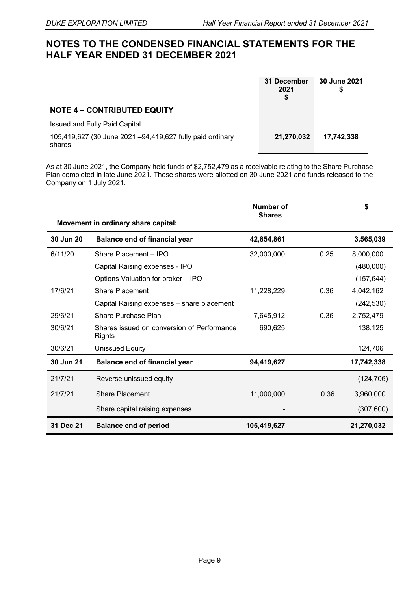# **NOTES TO THE CONDENSED FINANCIAL STATEMENTS FOR THE HALF YEAR ENDED 31 DECEMBER 2021**

|                                                                     | 31 December<br>2021<br>\$ | 30 June 2021<br>S |
|---------------------------------------------------------------------|---------------------------|-------------------|
| <b>NOTE 4 - CONTRIBUTED EQUITY</b>                                  |                           |                   |
| <b>Issued and Fully Paid Capital</b>                                |                           |                   |
| 105,419,627 (30 June 2021 -94,419,627 fully paid ordinary<br>shares | 21,270,032                | 17.742.338        |

As at 30 June 2021, the Company held funds of \$2,752,479 as a receivable relating to the Share Purchase Plan completed in late June 2021. These shares were allotted on 30 June 2021 and funds released to the Company on 1 July 2021.

|           |                                                             | Number of<br><b>Shares</b> |      | \$         |
|-----------|-------------------------------------------------------------|----------------------------|------|------------|
|           | Movement in ordinary share capital:                         |                            |      |            |
| 30 Jun 20 | <b>Balance end of financial year</b>                        | 42,854,861                 |      | 3,565,039  |
| 6/11/20   | Share Placement - IPO                                       | 32,000,000                 | 0.25 | 8,000,000  |
|           | Capital Raising expenses - IPO                              |                            |      | (480,000)  |
|           | Options Valuation for broker - IPO                          |                            |      | (157, 644) |
| 17/6/21   | Share Placement                                             | 11,228,229                 | 0.36 | 4,042,162  |
|           | Capital Raising expenses - share placement                  |                            |      | (242, 530) |
| 29/6/21   | Share Purchase Plan                                         | 7,645,912                  | 0.36 | 2,752,479  |
| 30/6/21   | Shares issued on conversion of Performance<br><b>Rights</b> | 690,625                    |      | 138,125    |
| 30/6/21   | <b>Unissued Equity</b>                                      |                            |      | 124,706    |
| 30 Jun 21 | <b>Balance end of financial year</b>                        | 94,419,627                 |      | 17,742,338 |
| 21/7/21   | Reverse unissued equity                                     |                            |      | (124, 706) |
| 21/7/21   | Share Placement                                             | 11,000,000                 | 0.36 | 3,960,000  |
|           | Share capital raising expenses                              |                            |      | (307, 600) |
| 31 Dec 21 | <b>Balance end of period</b>                                | 105,419,627                |      | 21,270,032 |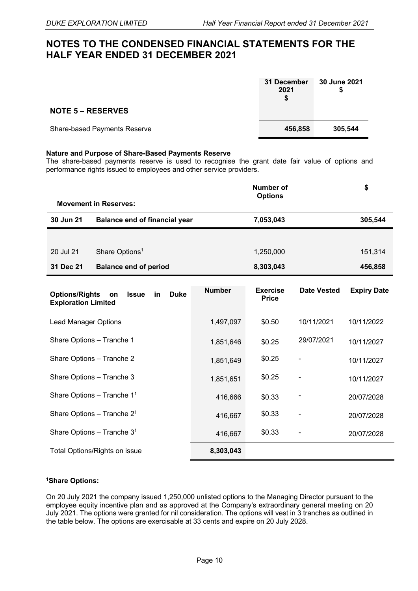## **NOTES TO THE CONDENSED FINANCIAL STATEMENTS FOR THE HALF YEAR ENDED 31 DECEMBER 2021**

|                                     | 31 December<br>2021<br>S | 30 June 2021 |
|-------------------------------------|--------------------------|--------------|
| <b>NOTE 5 – RESERVES</b>            |                          |              |
| <b>Share-based Payments Reserve</b> | 456,858                  | 305,544      |

#### **Nature and Purpose of Share-Based Payments Reserve**

The share-based payments reserve is used to recognise the grant date fair value of options and performance rights issued to employees and other service providers.

|                                                     |                                         |               | <b>Number of</b><br><b>Options</b> |                              | \$                 |
|-----------------------------------------------------|-----------------------------------------|---------------|------------------------------------|------------------------------|--------------------|
| <b>Movement in Reserves:</b>                        |                                         |               |                                    |                              |                    |
| 30 Jun 21                                           | <b>Balance end of financial year</b>    |               | 7,053,043                          |                              | 305,544            |
|                                                     |                                         |               |                                    |                              |                    |
| 20 Jul 21                                           | Share Options <sup>1</sup>              |               | 1,250,000                          |                              | 151,314            |
| 31 Dec 21                                           | <b>Balance end of period</b>            |               | 8,303,043                          |                              | 456,858            |
| <b>Options/Rights</b><br><b>Exploration Limited</b> | <b>Duke</b><br><b>Issue</b><br>in<br>on | <b>Number</b> | <b>Exercise</b><br><b>Price</b>    | Date Vested                  | <b>Expiry Date</b> |
| <b>Lead Manager Options</b>                         |                                         | 1,497,097     | \$0.50                             | 10/11/2021                   | 10/11/2022         |
| Share Options - Tranche 1                           |                                         | 1,851,646     | \$0.25                             | 29/07/2021                   | 10/11/2027         |
| Share Options - Tranche 2                           |                                         | 1,851,649     | \$0.25                             | $\qquad \qquad \blacksquare$ | 10/11/2027         |
| Share Options - Tranche 3                           |                                         | 1,851,651     | \$0.25                             | $\qquad \qquad \blacksquare$ | 10/11/2027         |
| Share Options - Tranche 1 <sup>1</sup>              |                                         | 416,666       | \$0.33                             | -                            | 20/07/2028         |
| Share Options - Tranche $21$                        |                                         | 416,667       | \$0.33                             | $\qquad \qquad \blacksquare$ | 20/07/2028         |
| Share Options - Tranche $31$                        |                                         | 416,667       | \$0.33                             |                              | 20/07/2028         |
|                                                     | Total Options/Rights on issue           | 8,303,043     |                                    |                              |                    |

#### **1Share Options:**

On 20 July 2021 the company issued 1,250,000 unlisted options to the Managing Director pursuant to the employee equity incentive plan and as approved at the Company's extraordinary general meeting on 20 July 2021. The options were granted for nil consideration. The options will vest in 3 tranches as outlined in the table below. The options are exercisable at 33 cents and expire on 20 July 2028.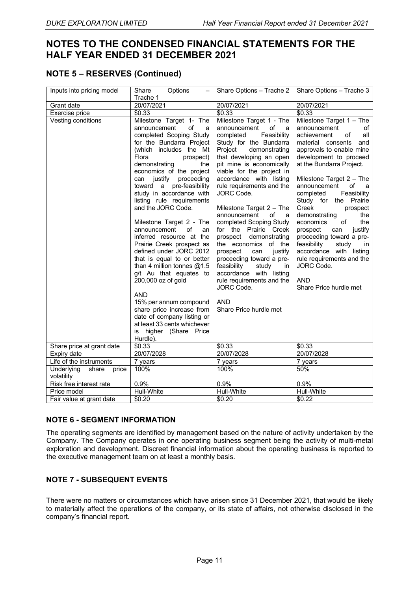# **NOTES TO THE CONDENSED FINANCIAL STATEMENTS FOR THE HALF YEAR ENDED 31 DECEMBER 2021**

### **NOTE 5 – RESERVES (Continued)**

| Inputs into pricing model               | Share<br>Options<br>Trache 1                                                                                                                                                                                                                                                                                                                                                                                                                                                                                                                                                                                                                                                                                                                                                            | Share Options - Trache 2                                                                                                                                                                                                                                                                                                                                                                                                                                                                                                                                                                                                                                             | Share Options - Trache 3                                                                                                                                                                                                                                                                                                                                                                                                                                                                                                                                                               |
|-----------------------------------------|-----------------------------------------------------------------------------------------------------------------------------------------------------------------------------------------------------------------------------------------------------------------------------------------------------------------------------------------------------------------------------------------------------------------------------------------------------------------------------------------------------------------------------------------------------------------------------------------------------------------------------------------------------------------------------------------------------------------------------------------------------------------------------------------|----------------------------------------------------------------------------------------------------------------------------------------------------------------------------------------------------------------------------------------------------------------------------------------------------------------------------------------------------------------------------------------------------------------------------------------------------------------------------------------------------------------------------------------------------------------------------------------------------------------------------------------------------------------------|----------------------------------------------------------------------------------------------------------------------------------------------------------------------------------------------------------------------------------------------------------------------------------------------------------------------------------------------------------------------------------------------------------------------------------------------------------------------------------------------------------------------------------------------------------------------------------------|
| Grant date                              | 20/07/2021                                                                                                                                                                                                                                                                                                                                                                                                                                                                                                                                                                                                                                                                                                                                                                              | 20/07/2021                                                                                                                                                                                                                                                                                                                                                                                                                                                                                                                                                                                                                                                           | 20/07/2021                                                                                                                                                                                                                                                                                                                                                                                                                                                                                                                                                                             |
| Exercise price                          | \$0.33                                                                                                                                                                                                                                                                                                                                                                                                                                                                                                                                                                                                                                                                                                                                                                                  | \$0.33                                                                                                                                                                                                                                                                                                                                                                                                                                                                                                                                                                                                                                                               | \$0.33                                                                                                                                                                                                                                                                                                                                                                                                                                                                                                                                                                                 |
| Vesting conditions                      | Milestone Target 1- The<br>of<br>announcement<br>a<br>completed Scoping Study<br>for the Bundarra Project<br>(which includes the Mt<br>Flora<br>prospect)<br>demonstrating<br>the<br>economics of the project<br>can justify proceeding<br>toward a pre-feasibility<br>study in accordance with<br>listing rule requirements<br>and the JORC Code.<br>Milestone Target 2 - The<br>of<br>announcement<br>an<br>inferred resource at the<br>Prairie Creek prospect as<br>defined under JORC 2012<br>that is equal to or better<br>than 4 million tonnes $@1.5$<br>g/t Au that equates to<br>200,000 oz of gold<br><b>AND</b><br>15% per annum compound<br>share price increase from<br>date of company listing or<br>at least 33 cents whichever<br>higher (Share Price<br>is<br>Hurdle). | Milestone Target 1 - The<br>of<br>announcement<br>a<br>Feasibility<br>completed<br>Study for the Bundarra<br>Project<br>demonstrating<br>that developing an open<br>pit mine is economically<br>viable for the project in<br>accordance with listing<br>rule requirements and the<br>JORC Code.<br>Milestone Target $2 - The$<br>announcement<br>of<br>a<br>completed Scoping Study<br>for the Prairie Creek<br>prospect demonstrating<br>the economics of the<br>prospect<br>justify<br>can<br>proceeding toward a pre-<br>feasibility<br>study<br>in<br>accordance with listing<br>rule requirements and the<br>JORC Code.<br><b>AND</b><br>Share Price hurdle met | Milestone Target $1 -$ The<br>announcement<br>οf<br>achievement<br>all<br>οf<br>material consents<br>and<br>approvals to enable mine<br>development to proceed<br>at the Bundarra Project.<br>Milestone Target $2 - The$<br>announcement<br>οf<br>a,<br>completed<br>Feasibility<br>Study for the Prairie<br>Creek<br>prospect<br>demonstrating<br>the<br>economics<br>the<br>of<br>justify<br>prospect<br>can<br>proceeding toward a pre-<br>feasibility<br>study<br>in<br>accordance with listing<br>rule requirements and the<br>JORC Code.<br><b>AND</b><br>Share Price hurdle met |
| Share price at grant date               | $\overline{$}0.33$                                                                                                                                                                                                                                                                                                                                                                                                                                                                                                                                                                                                                                                                                                                                                                      | \$0.33                                                                                                                                                                                                                                                                                                                                                                                                                                                                                                                                                                                                                                                               | \$0.33                                                                                                                                                                                                                                                                                                                                                                                                                                                                                                                                                                                 |
| Expiry date                             | 20/07/2028                                                                                                                                                                                                                                                                                                                                                                                                                                                                                                                                                                                                                                                                                                                                                                              | 20/07/2028                                                                                                                                                                                                                                                                                                                                                                                                                                                                                                                                                                                                                                                           | 20/07/2028                                                                                                                                                                                                                                                                                                                                                                                                                                                                                                                                                                             |
| Life of the instruments                 | 7 years<br>100%                                                                                                                                                                                                                                                                                                                                                                                                                                                                                                                                                                                                                                                                                                                                                                         | 7 years<br>100%                                                                                                                                                                                                                                                                                                                                                                                                                                                                                                                                                                                                                                                      | 7 years<br>50%                                                                                                                                                                                                                                                                                                                                                                                                                                                                                                                                                                         |
| Underlying<br>share price<br>volatility |                                                                                                                                                                                                                                                                                                                                                                                                                                                                                                                                                                                                                                                                                                                                                                                         |                                                                                                                                                                                                                                                                                                                                                                                                                                                                                                                                                                                                                                                                      |                                                                                                                                                                                                                                                                                                                                                                                                                                                                                                                                                                                        |
| Risk free interest rate                 | 0.9%                                                                                                                                                                                                                                                                                                                                                                                                                                                                                                                                                                                                                                                                                                                                                                                    | 0.9%                                                                                                                                                                                                                                                                                                                                                                                                                                                                                                                                                                                                                                                                 | 0.9%                                                                                                                                                                                                                                                                                                                                                                                                                                                                                                                                                                                   |
| Price model                             | Hull-White                                                                                                                                                                                                                                                                                                                                                                                                                                                                                                                                                                                                                                                                                                                                                                              | Hull-White                                                                                                                                                                                                                                                                                                                                                                                                                                                                                                                                                                                                                                                           | Hull-White                                                                                                                                                                                                                                                                                                                                                                                                                                                                                                                                                                             |
| Fair value at grant date                | \$0.20                                                                                                                                                                                                                                                                                                                                                                                                                                                                                                                                                                                                                                                                                                                                                                                  | \$0.20                                                                                                                                                                                                                                                                                                                                                                                                                                                                                                                                                                                                                                                               | \$0.22                                                                                                                                                                                                                                                                                                                                                                                                                                                                                                                                                                                 |

#### **NOTE 6 - SEGMENT INFORMATION**

The operating segments are identified by management based on the nature of activity undertaken by the Company. The Company operates in one operating business segment being the activity of multi-metal exploration and development. Discreet financial information about the operating business is reported to the executive management team on at least a monthly basis.

#### **NOTE 7 - SUBSEQUENT EVENTS**

There were no matters or circumstances which have arisen since 31 December 2021, that would be likely to materially affect the operations of the company, or its state of affairs, not otherwise disclosed in the company's financial report.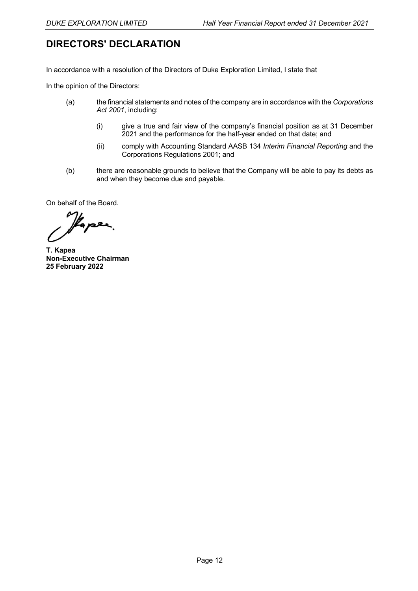# **DIRECTORS' DECLARATION**

In accordance with a resolution of the Directors of Duke Exploration Limited, I state that

In the opinion of the Directors:

- (a) the financial statements and notes of the company are in accordance with the *Corporations Act 2001*, including:
	- (i) give a true and fair view of the company's financial position as at 31 December 2021 and the performance for the half-year ended on that date; and
	- (ii) comply with Accounting Standard AASB 134 *Interim Financial Reporting* and the Corporations Regulations 2001; and
- (b) there are reasonable grounds to believe that the Company will be able to pay its debts as and when they become due and payable.

On behalf of the Board.

Kaper

**T. Kapea Non-Executive Chairman 25 February 2022**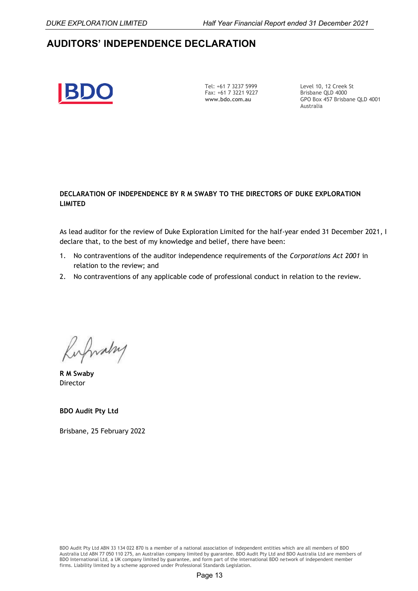# **AUDITORS' INDEPENDENCE DECLARATION**



Tel: +61 7 3237 5999 Fax: +61 7 3221 9227 **www.bdo.com.au** 

Level 10, 12 Creek St Brisbane OLD 4000 GPO Box 457 Brisbane QLD 4001 Australia

#### **DECLARATION OF INDEPENDENCE BY R M SWABY TO THE DIRECTORS OF DUKE EXPLORATION LIMITED**

As lead auditor for the review of Duke Exploration Limited for the half-year ended 31 December 2021, I declare that, to the best of my knowledge and belief, there have been:

- 1. No contraventions of the auditor independence requirements of the *Corporations Act 2001* in relation to the review; and
- 2. No contraventions of any applicable code of professional conduct in relation to the review.

Rufwalry

**R M Swaby Director** 

**BDO Audit Pty Ltd**

Brisbane, 25 February 2022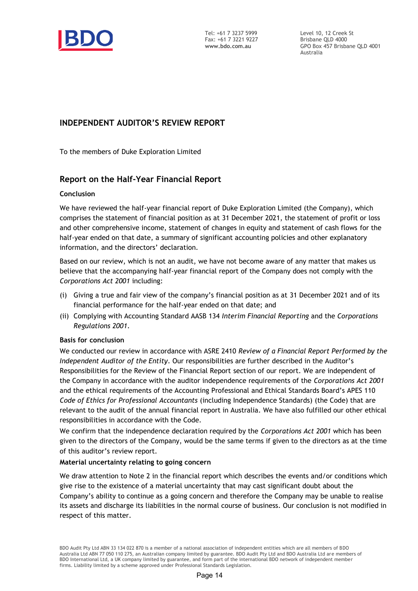

Tel: +61 7 3237 5999 Fax: +61 7 3221 9227 **www.bdo.com.au**

Level 10, 12 Creek St Brisbane QLD 4000 GPO Box 457 Brisbane QLD 4001 Australia

### **INDEPENDENT AUDITOR'S REVIEW REPORT**

To the members of Duke Exploration Limited

#### **Report on the Half-Year Financial Report**

#### **Conclusion**

We have reviewed the half-year financial report of Duke Exploration Limited (the Company), which comprises the statement of financial position as at 31 December 2021, the statement of profit or loss and other comprehensive income, statement of changes in equity and statement of cash flows for the half-year ended on that date, a summary of significant accounting policies and other explanatory information, and the directors' declaration.

Based on our review, which is not an audit, we have not become aware of any matter that makes us believe that the accompanying half-year financial report of the Company does not comply with the *Corporations Act 2001* including:

- (i) Giving a true and fair view of the company's financial position as at 31 December 2021 and of its financial performance for the half-year ended on that date; and
- (ii) Complying with Accounting Standard AASB 134 *Interim Financial Reporting* and the *Corporations Regulations 2001*.

#### **Basis for conclusion**

We conducted our review in accordance with ASRE 2410 *Review of a Financial Report Performed by the Independent Auditor of the Entity*. Our responsibilities are further described in the Auditor's Responsibilities for the Review of the Financial Report section of our report. We are independent of the Company in accordance with the auditor independence requirements of the *Corporations Act 2001* and the ethical requirements of the Accounting Professional and Ethical Standards Board's APES 110 *Code of Ethics for Professional Accountants* (including Independence Standards) (the Code) that are relevant to the audit of the annual financial report in Australia. We have also fulfilled our other ethical responsibilities in accordance with the Code.

We confirm that the independence declaration required by the *Corporations Act 2001* which has been given to the directors of the Company, would be the same terms if given to the directors as at the time of this auditor's review report.

#### **Material uncertainty relating to going concern**

We draw attention to Note 2 in the financial report which describes the events and/or conditions which give rise to the existence of a material uncertainty that may cast significant doubt about the Company's ability to continue as a going concern and therefore the Company may be unable to realise its assets and discharge its liabilities in the normal course of business. Our conclusion is not modified in respect of this matter.